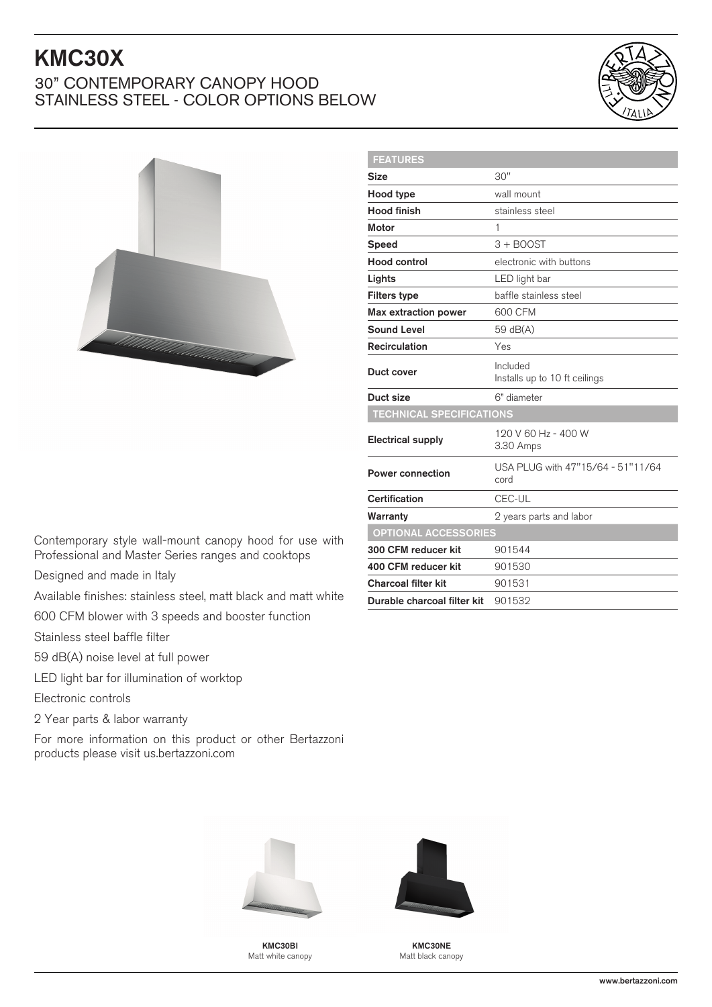## KMC30X

## 30" CONTEMPORARY CANOPY HOOD STAINLESS STEEL - COLOR OPTIONS BELOW





| <b>FEATURES</b>                 |                                           |
|---------------------------------|-------------------------------------------|
| <b>Size</b>                     | 30"                                       |
| Hood type                       | wall mount                                |
| <b>Hood finish</b>              | stainless steel                           |
| Motor                           | 1                                         |
| Speed                           | $3 +$ BOOST                               |
| Hood control                    | electronic with buttons                   |
| Lights                          | LED light bar                             |
| <b>Filters type</b>             | baffle stainless steel                    |
| <b>Max extraction power</b>     | 600 CFM                                   |
| Sound Level                     | 59 dB(A)                                  |
| <b>Recirculation</b>            | Yes                                       |
| Duct cover                      | Included<br>Installs up to 10 ft ceilings |
| Duct size                       | 6" diameter                               |
| <b>TECHNICAL SPECIFICATIONS</b> |                                           |
| <b>Electrical supply</b>        | 120 V 60 Hz - 400 W<br>3.30 Amps          |
| <b>Power connection</b>         | USA PLUG with 47"15/64 - 51"11/64<br>cord |
| Certification                   | CEC-UL                                    |
| Warranty                        | 2 years parts and labor                   |
| <b>OPTIONAL ACCESSORIES</b>     |                                           |
| 300 CFM reducer kit             | 901544                                    |
| 400 CFM reducer kit             | 901530                                    |
| <b>Charcoal filter kit</b>      | 901531                                    |
| Durable charcoal filter kit     | 901532                                    |
|                                 |                                           |

Contemporary style wall-mount canopy hood for use with Professional and Master Series ranges and cooktops

Designed and made in Italy

Available finishes: stainless steel, matt black and matt white

600 CFM blower with 3 speeds and booster function

Stainless steel baffle filter

59 dB(A) noise level at full power

LED light bar for illumination of worktop

Electronic controls

2 Year parts & labor warranty

For more information on this product or other Bertazzoni products please visit us.bertazzoni.com



KMC30BI Matt white canopy



KMC30NE Matt black canopy